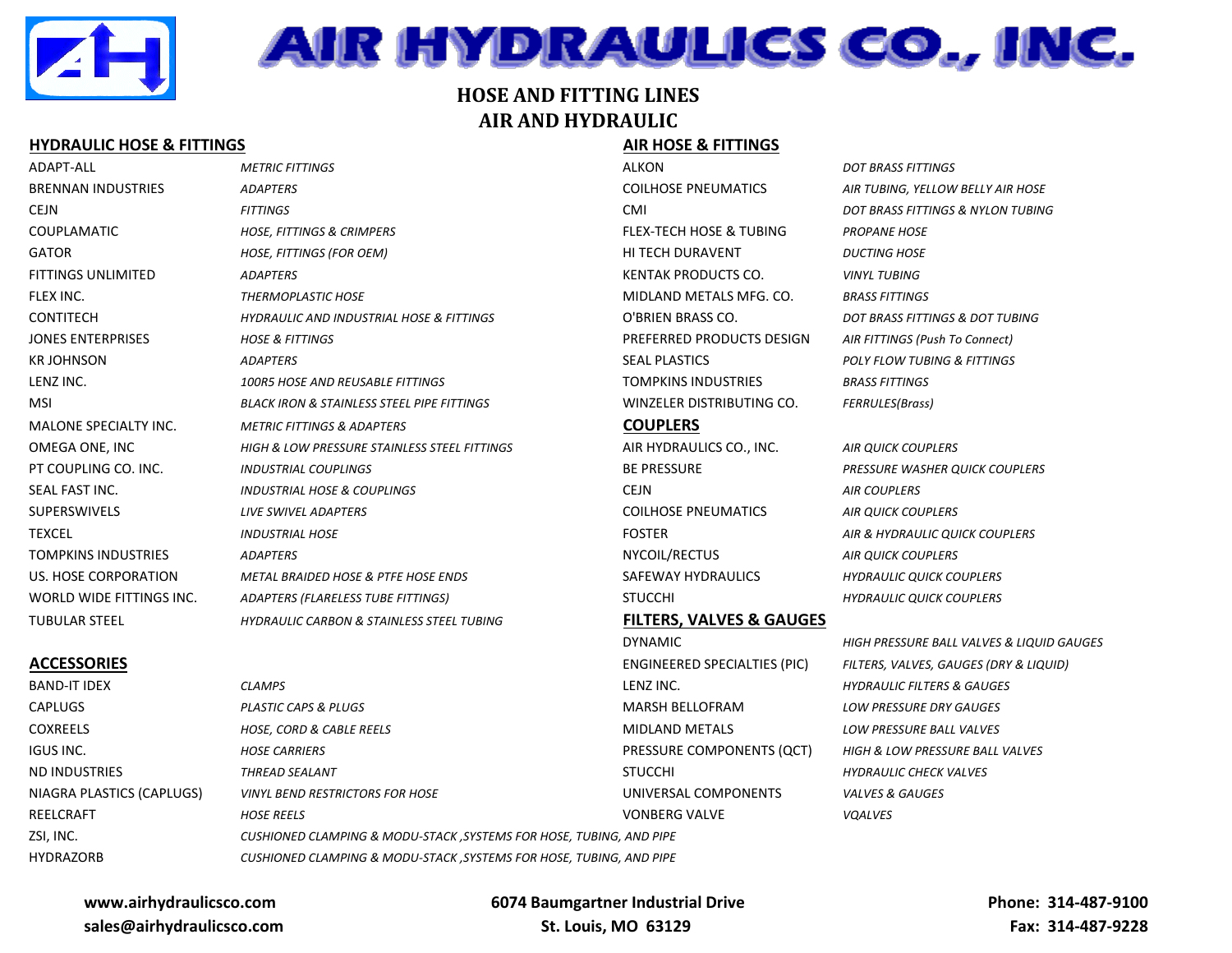

# AIR HYDRAULICS CO., INC.

# **HOSE AND FITTING LINES AIR AND HYDRAULIC**

### **HYDRAULIC HOSE & FITTINGS AIR HOSE & FITTINGS**

## ADAPT-ALL *METRIC FITTINGS* ALKON *DOT BRASS FITTINGS* BRENNAN INDUSTRIES *ADAPTERS* COILHOSE PNEUMATICS *AIR TUBING, YELLOW BELLY AIR HOSE*  CEJN *FITTINGS* CMI *DOT BRASS FITTINGS & NYLON TUBING* COUPLAMATIC *HOSE, FITTINGS & CRIMPERS* FLEX-TECH HOSE & TUBING *PROPANE HOSE* GATOR *HOSE, FITTINGS (FOR OEM)* HI TECH DURAVENT *DUCTING HOSE* FITTINGS UNLIMITED *ADAPTERS* KENTAK PRODUCTS CO. *VINYL TUBING* FLEX INC. *THERMOPLASTIC HOSE* MIDLAND METALS MFG. CO. *BRASS FITTINGS* CONTITECH *HYDRAULIC AND INDUSTRIAL HOSE & FITTINGS* O'BRIEN BRASS CO. *DOT BRASS FITTINGS & DOT TUBING* JONES ENTERPRISES *HOSE & FITTINGS* PREFERRED PRODUCTS DESIGN *AIR FITTINGS (Push To Connect)* KR JOHNSON *ADAPTERS* SEAL PLASTICS *POLY FLOW TUBING & FITTINGS* LENZ INC. *100R5 HOSE AND REUSABLE FITTINGS* TOMPKINS INDUSTRIES *BRASS FITTINGS* MSI *BLACK IRON & STAINLESS STEEL PIPE FITTINGS* WINZELER DISTRIBUTING CO. *FERRULES(Brass)* MALONE SPECIALTY INC. *METRIC FITTINGS & ADAPTERS* **COUPLERS** OMEGA ONE, INC *HIGH & LOW PRESSURE STAINLESS STEEL FITTINGS* AIR HYDRAULICS CO., INC. *AIR QUICK COUPLERS* PT COUPLING CO. INC. *INDUSTRIAL COUPLINGS* BE PRESSURE *PRESSURE WASHER QUICK COUPLERS* SEAL FAST INC. *INDUSTRIAL HOSE & COUPLINGS* CEJN *AIR COUPLERS* SUPERSWIVELS *LIVE SWIVEL ADAPTERS* COILHOSE PNEUMATICS *AIR QUICK COUPLERS* TEXCEL *INDUSTRIAL HOSE* FOSTER *AIR & HYDRAULIC QUICK COUPLERS* TOMPKINS INDUSTRIES *ADAPTERS* NYCOIL/RECTUS *AIR QUICK COUPLERS* US. HOSE CORPORATION *METAL BRAIDED HOSE & PTFE HOSE ENDS* SAFEWAY HYDRAULICS *HYDRAULIC QUICK COUPLERS* WORLD WIDE FITTINGS INC. *ADAPTERS (FLARELESS TUBE FITTINGS)* STUCCHI *HYDRAULIC QUICK COUPLERS* TUBULAR STEEL *HYDRAULIC CARBON & STAINLESS STEEL TUBING* **FILTERS, VALVES & GAUGES**

NIAGRA PLASTICS (CAPLUGS) *VINYL BEND RESTRICTORS FOR HOSE* UNIVERSAL COMPONENTS *VALVES & GAUGES* REELCRAFT *HOSE REELS* VONBERG VALVE *VQALVES* ZSI, INC. *CUSHIONED CLAMPING & MODU-STACK ,SYSTEMS FOR HOSE, TUBING, AND PIPE* HYDRAZORB *CUSHIONED CLAMPING & MODU-STACK ,SYSTEMS FOR HOSE, TUBING, AND PIPE*

# DYNAMIC *HIGH PRESSURE BALL VALVES & LIQUID GAUGES* **ACCESSORIES** ENGINEERED SPECIALTIES (PIC) *FILTERS, VALVES, GAUGES (DRY & LIQUID)* BAND-IT IDEX *CLAMPS* LENZ INC. *HYDRAULIC FILTERS & GAUGES* CAPLUGS *PLASTIC CAPS & PLUGS* MARSH BELLOFRAM *LOW PRESSURE DRY GAUGES* COXREELS *HOSE, CORD & CABLE REELS* MIDLAND METALS *LOW PRESSURE BALL VALVES* IGUS INC. *HOSE CARRIERS* PRESSURE COMPONENTS (QCT) *HIGH & LOW PRESSURE BALL VALVES* ND INDUSTRIES *THREAD SEALANT* STUCCHI *HYDRAULIC CHECK VALVES*

### **www.airhydraulicsco.com sales@airhydraulicsco.com**

 **6074 Baumgartner Industrial Drive St. Louis, MO 63129**